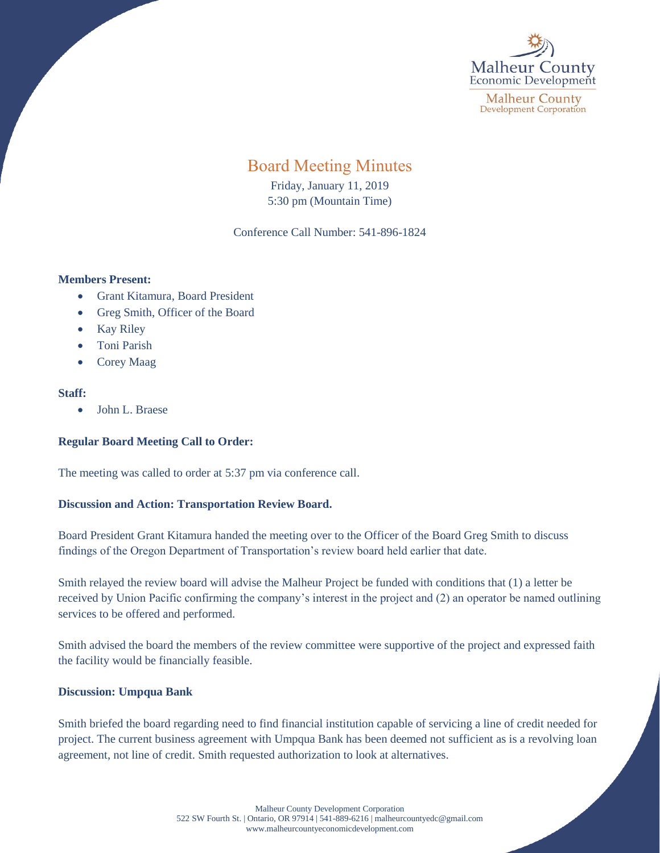

# Board Meeting Minutes

Friday, January 11, 2019 5:30 pm (Mountain Time)

Conference Call Number: 541-896-1824

#### **Members Present:**

- Grant Kitamura, Board President
- Greg Smith, Officer of the Board
- Kay Riley
- Toni Parish
- Corey Maag

#### **Staff:**

• John L. Braese

### **Regular Board Meeting Call to Order:**

The meeting was called to order at 5:37 pm via conference call.

## **Discussion and Action: Transportation Review Board.**

Board President Grant Kitamura handed the meeting over to the Officer of the Board Greg Smith to discuss findings of the Oregon Department of Transportation's review board held earlier that date.

Smith relayed the review board will advise the Malheur Project be funded with conditions that (1) a letter be received by Union Pacific confirming the company's interest in the project and (2) an operator be named outlining services to be offered and performed.

Smith advised the board the members of the review committee were supportive of the project and expressed faith the facility would be financially feasible.

### **Discussion: Umpqua Bank**

Smith briefed the board regarding need to find financial institution capable of servicing a line of credit needed for project. The current business agreement with Umpqua Bank has been deemed not sufficient as is a revolving loan agreement, not line of credit. Smith requested authorization to look at alternatives.

> Malheur County Development Corporation 522 SW Fourth St. | Ontario, OR 97914 | 541-889-6216 [| malheurcountyedc@gmail.com](mailto:malheurcountyedc@gmail.com) [www.malheurcountyeconomicdevelopment.com](http://www.malheurcountyeconomicdevelopment.com/)